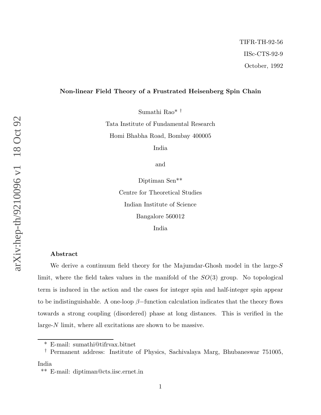## Non-linear Field Theory of a Frustrated Heisenberg Spin Chain

Sumathi Rao\* †

Tata Institute of Fundamental Research Homi Bhabha Road, Bombay 400005

India

and

Diptiman Sen\*\* Centre for Theoretical Studies Indian Institute of Science Bangalore 560012 India

### Abstract

We derive a continuum field theory for the Majumdar-Ghosh model in the large-S limit, where the field takes values in the manifold of the  $SO(3)$  group. No topological term is induced in the action and the cases for integer spin and half-integer spin appear to be indistinguishable. A one-loop  $\beta$ -function calculation indicates that the theory flows towards a strong coupling (disordered) phase at long distances. This is verified in the large-N limit, where all excitations are shown to be massive.

India

<sup>\*</sup> E-mail: sumathi@tifrvax.bitnet

<sup>†</sup> Permanent address: Institute of Physics, Sachivalaya Marg, Bhubaneswar 751005,

<sup>\*\*</sup> E-mail: diptiman@cts.iisc.ernet.in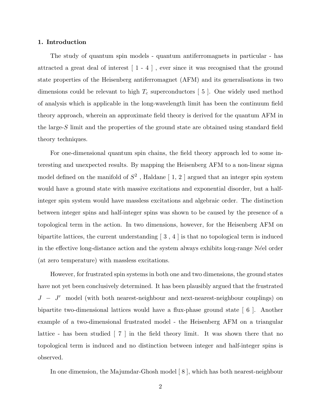## 1. Introduction

The study of quantum spin models - quantum antiferromagnets in particular - has attracted a great deal of interest [ 1 - 4 ] , ever since it was recognised that the ground state properties of the Heisenberg antiferromagnet (AFM) and its generalisations in two dimensions could be relevant to high  $T_c$  superconductors [5]. One widely used method of analysis which is applicable in the long-wavelength limit has been the continuum field theory approach, wherein an approximate field theory is derived for the quantum AFM in the large- $S$  limit and the properties of the ground state are obtained using standard field theory techniques.

For one-dimensional quantum spin chains, the field theory approach led to some interesting and unexpected results. By mapping the Heisenberg AFM to a non-linear sigma model defined on the manifold of  $S^2$ , Haldane [1, 2] argued that an integer spin system would have a ground state with massive excitations and exponential disorder, but a halfinteger spin system would have massless excitations and algebraic order. The distinction between integer spins and half-integer spins was shown to be caused by the presence of a topological term in the action. In two dimensions, however, for the Heisenberg AFM on bipartite lattices, the current understanding  $\lceil 3, 4 \rceil$  is that no topological term is induced in the effective long-distance action and the system always exhibits long-range N $\acute{e}$ el order (at zero temperature) with massless excitations.

However, for frustrated spin systems in both one and two dimensions, the ground states have not yet been conclusively determined. It has been plausibly argued that the frustrated  $J - J'$  model (with both nearest-neighbour and next-nearest-neighbour couplings) on bipartite two-dimensional lattices would have a flux-phase ground state [ 6 ]. Another example of a two-dimensional frustrated model - the Heisenberg AFM on a triangular lattice - has been studied  $\lceil 7 \rceil$  in the field theory limit. It was shown there that no topological term is induced and no distinction between integer and half-integer spins is observed.

In one dimension, the Majumdar-Ghosh model [8], which has both nearest-neighbour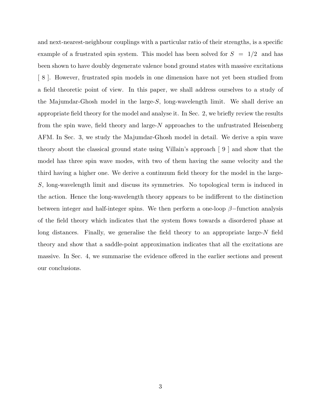and next-nearest-neighbour couplings with a particular ratio of their strengths, is a specific example of a frustrated spin system. This model has been solved for  $S = 1/2$  and has been shown to have doubly degenerate valence bond ground states with massive excitations [ 8 ]. However, frustrated spin models in one dimension have not yet been studied from a field theoretic point of view. In this paper, we shall address ourselves to a study of the Majumdar-Ghosh model in the large-S, long-wavelength limit. We shall derive an appropriate field theory for the model and analyse it. In Sec. 2, we briefly review the results from the spin wave, field theory and large-N approaches to the unfrustrated Heisenberg AFM. In Sec. 3, we study the Majumdar-Ghosh model in detail. We derive a spin wave theory about the classical ground state using Villain's approach [ 9 ] and show that the model has three spin wave modes, with two of them having the same velocity and the third having a higher one. We derive a continuum field theory for the model in the large-S, long-wavelength limit and discuss its symmetries. No topological term is induced in the action. Hence the long-wavelength theory appears to be indifferent to the distinction between integer and half-integer spins. We then perform a one-loop  $\beta$ -function analysis of the field theory which indicates that the system flows towards a disordered phase at long distances. Finally, we generalise the field theory to an appropriate large- $N$  field theory and show that a saddle-point approximation indicates that all the excitations are massive. In Sec. 4, we summarise the evidence offered in the earlier sections and present our conclusions.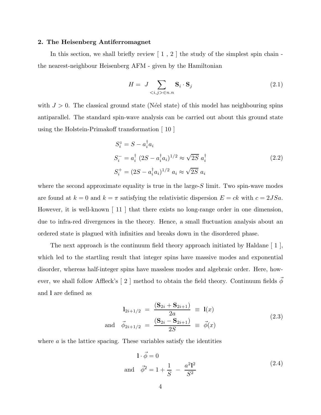## 2. The Heisenberg Antiferromagnet

In this section, we shall briefly review  $\left[1, 2\right]$  the study of the simplest spin chain the nearest-neighbour Heisenberg AFM - given by the Hamiltonian

$$
H = J \sum_{\langle i,j \rangle \in n.n} \mathbf{S}_i \cdot \mathbf{S}_j \tag{2.1}
$$

with  $J > 0$ . The classical ground state (Néel state) of this model has neighbouring spins antiparallel. The standard spin-wave analysis can be carried out about this ground state using the Holstein-Primakoff transformation [ 10 ]

$$
S_i^z = S - a_i^{\dagger} a_i
$$
  
\n
$$
S_i^- = a_i^{\dagger} (2S - a_i^{\dagger} a_i)^{1/2} \approx \sqrt{2S} a_i^{\dagger}
$$
  
\n
$$
S_i^+ = (2S - a_i^{\dagger} a_i)^{1/2} a_i \approx \sqrt{2S} a_i
$$
\n(2.2)

where the second approximate equality is true in the large- $S$  limit. Two spin-wave modes are found at  $k = 0$  and  $k = \pi$  satisfying the relativistic dispersion  $E = ck$  with  $c = 2JSa$ . However, it is well-known  $\begin{bmatrix} 11 \end{bmatrix}$  that there exists no long-range order in one dimension, due to infra-red divergences in the theory. Hence, a small fluctuation analysis about an ordered state is plagued with infinities and breaks down in the disordered phase.

The next approach is the continuum field theory approach initiated by Haldane [ 1 ], which led to the startling result that integer spins have massive modes and exponential disorder, whereas half-integer spins have massless modes and algebraic order. Here, however, we shall follow Affleck's [ 2 ] method to obtain the field theory. Continuum fields  $\vec{\phi}$ and l are defined as

$$
l_{2i+1/2} = \frac{(S_{2i} + S_{2i+1})}{2a} \equiv l(x)
$$
  
and  $\vec{\phi}_{2i+1/2} = \frac{(S_{2i} - S_{2i+1})}{2S} \equiv \vec{\phi}(x)$  (2.3)

where  $\alpha$  is the lattice spacing. These variables satisfy the identities

$$
1 \cdot \vec{\phi} = 0
$$
  
and  $\vec{\phi}^2 = 1 + \frac{1}{S} - \frac{a^2 \mathbf{l}^2}{S^2}$  (2.4)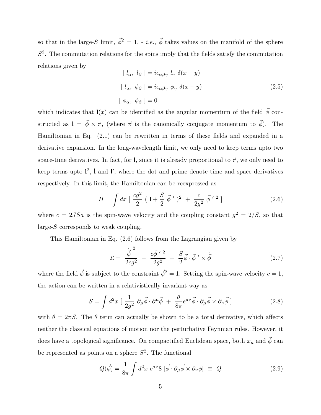so that in the large-S limit,  $\vec{\phi}^2 = 1$ , - *i.e.*,  $\vec{\phi}$  takes values on the manifold of the sphere  $S<sup>2</sup>$ . The commutation relations for the spins imply that the fields satisfy the commutation relations given by

$$
[l_{\alpha}, l_{\beta}] = i\epsilon_{\alpha\beta\gamma} l_{\gamma} \delta(x - y)
$$
  
\n
$$
[l_{\alpha}, \phi_{\beta}] = i\epsilon_{\alpha\beta\gamma} \phi_{\gamma} \delta(x - y)
$$
  
\n
$$
[\phi_{\alpha}, \phi_{\beta}] = 0
$$
\n(2.5)

which indicates that  $\mathbf{l}(x)$  can be identified as the angular momentum of the field  $\vec{\phi}$  constructed as  $1 = \vec{\phi} \times \vec{\pi}$ , (where  $\vec{\pi}$  is the canonically conjugate momentum to  $\vec{\phi}$ ). The Hamiltonian in Eq. (2.1) can be rewritten in terms of these fields and expanded in a derivative expansion. In the long-wavelength limit, we only need to keep terms upto two space-time derivatives. In fact, for l, since it is already proportional to  $\vec{\pi}$ , we only need to keep terms upto  $l^2$ ,  $\dot{l}$  and  $\dot{l}'$ , where the dot and prime denote time and space derivatives respectively. In this limit, the Hamiltonian can be reexpressed as

$$
H = \int dx \, \left[ \, \frac{cg^2}{2} \, \left( \, 1 + \frac{S}{2} \, \vec{\phi} \, ' \, \right)^2 \, + \, \frac{c}{2g^2} \, \vec{\phi} \, ' \, ^2 \, \right] \tag{2.6}
$$

where  $c = 2JSa$  is the spin-wave velocity and the coupling constant  $g^2 = 2/S$ , so that large-S corresponds to weak coupling.

This Hamiltonian in Eq. (2.6) follows from the Lagrangian given by

$$
\mathcal{L} = \frac{\dot{\vec{\phi}}^2}{2cg^2} - \frac{c\vec{\phi}^{\,\prime\,2}}{2g^2} + \frac{S}{2}\vec{\phi}\cdot\vec{\phi}^{\,\prime} \times \dot{\vec{\phi}} \tag{2.7}
$$

where the field  $\vec{\phi}$  is subject to the constraint  $\vec{\phi}^2 = 1$ . Setting the spin-wave velocity  $c = 1$ , the action can be written in a relativistically invariant way as

$$
S = \int d^2x \left[ \frac{1}{2g^2} \partial_\mu \vec{\phi} \cdot \partial^\mu \vec{\phi} + \frac{\theta}{8\pi} \epsilon^{\mu\nu} \vec{\phi} \cdot \partial_\mu \vec{\phi} \times \partial_\nu \vec{\phi} \right]
$$
(2.8)

with  $\theta = 2\pi S$ . The  $\theta$  term can actually be shown to be a total derivative, which affects neither the classical equations of motion nor the perturbative Feynman rules. However, it does have a topological significance. On compactified Euclidean space, both  $x_{\mu}$  and  $\vec{\phi}$  can be represented as points on a sphere  $S^2$ . The functional

$$
Q(\vec{\phi}) = \frac{1}{8\pi} \int d^2x \ \epsilon^{\mu\nu} 8 \left[ \vec{\phi} \cdot \partial_{\mu} \vec{\phi} \times \partial_{\nu} \vec{\phi} \right] \equiv Q \tag{2.9}
$$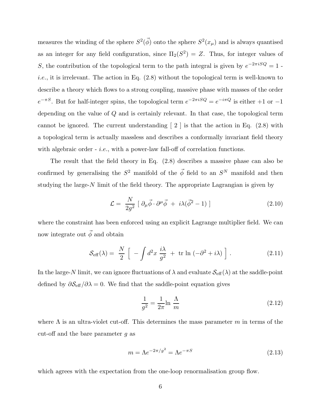measures the winding of the sphere  $S^2(\vec{\phi})$  onto the sphere  $S^2(x_\mu)$  and is always quantised as an integer for any field configuration, since  $\Pi_2(S^2) = Z$ . Thus, for integer values of S, the contribution of the topological term to the path integral is given by  $e^{-2\pi i SQ} = 1$ . *i.e.*, it is irrelevant. The action in Eq.  $(2.8)$  without the topological term is well-known to describe a theory which flows to a strong coupling, massive phase with masses of the order  $e^{-\pi S}$ . But for half-integer spins, the topological term  $e^{-2\pi iSQ} = e^{-i\pi Q}$  is either  $+1$  or  $-1$ depending on the value of Q and is certainly relevant. In that case, the topological term cannot be ignored. The current understanding  $\lceil 2 \rceil$  is that the action in Eq.  $(2.8)$  with a topological term is actually massless and describes a conformally invariant field theory with algebraic order  $-$  *i.e.*, with a power-law fall-off of correlation functions.

The result that the field theory in Eq. (2.8) describes a massive phase can also be confirmed by generalising the  $S^2$  manifold of the  $\vec{\phi}$  field to an  $S^N$  manifold and then studying the large- $N$  limit of the field theory. The appropriate Lagrangian is given by

$$
\mathcal{L} = \frac{N}{2g^2} \left[ \partial_{\mu} \vec{\phi} \cdot \partial^{\mu} \vec{\phi} + i \lambda (\vec{\phi}^2 - 1) \right]
$$
 (2.10)

where the constraint has been enforced using an explicit Lagrange multiplier field. We can now integrate out  $\vec{\phi}$  and obtain

$$
\mathcal{S}_{\text{eff}}(\lambda) = \frac{N}{2} \left[ -\int d^2 x \, \frac{i\lambda}{g^2} + \text{tr} \ln \left( -\partial^2 + i\lambda \right) \right]. \tag{2.11}
$$

In the large-N limit, we can ignore fluctuations of  $\lambda$  and evaluate  $\mathcal{S}_{\text{eff}}(\lambda)$  at the saddle-point defined by  $\partial \mathcal{S}_{\text{eff}}/\partial \lambda = 0$ . We find that the saddle-point equation gives

$$
\frac{1}{g^2} = \frac{1}{2\pi} \ln \frac{\Lambda}{m}
$$
\n(2.12)

where  $\Lambda$  is an ultra-violet cut-off. This determines the mass parameter m in terms of the cut-off and the bare parameter  $q$  as

$$
m = \Lambda e^{-2\pi/g^2} = \Lambda e^{-\pi S} \tag{2.13}
$$

which agrees with the expectation from the one-loop renormalisation group flow.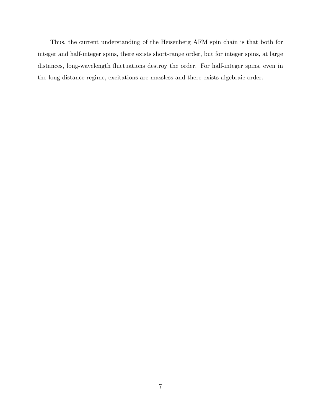Thus, the current understanding of the Heisenberg AFM spin chain is that both for integer and half-integer spins, there exists short-range order, but for integer spins, at large distances, long-wavelength fluctuations destroy the order. For half-integer spins, even in the long-distance regime, excitations are massless and there exists algebraic order.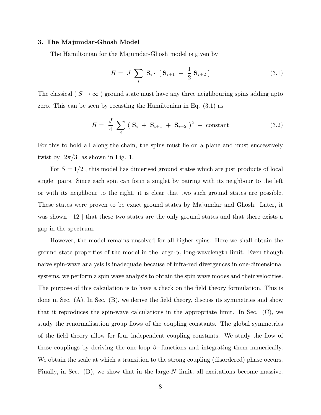#### 3. The Majumdar-Ghosh Model

The Hamiltonian for the Majumdar-Ghosh model is given by

$$
H = J \sum_{i} \mathbf{S}_{i} \cdot [\mathbf{S}_{i+1} + \frac{1}{2} \mathbf{S}_{i+2}] \tag{3.1}
$$

The classical (  $S\rightarrow\infty$  ) ground state must have any three neighbouring spins adding upto zero. This can be seen by recasting the Hamiltonian in Eq. (3.1) as

$$
H = \frac{J}{4} \sum_{i} (S_{i} + S_{i+1} + S_{i+2})^{2} + constant
$$
 (3.2)

For this to hold all along the chain, the spins must lie on a plane and must successively twist by  $2\pi/3$  as shown in Fig. 1.

For  $S = 1/2$ , this model has dimerised ground states which are just products of local singlet pairs. Since each spin can form a singlet by pairing with its neighbour to the left or with its neighbour to the right, it is clear that two such ground states are possible. These states were proven to be exact ground states by Majumdar and Ghosh. Later, it was shown  $\mid 12 \mid$  that these two states are the only ground states and that there exists a gap in the spectrum.

However, the model remains unsolved for all higher spins. Here we shall obtain the ground state properties of the model in the large-S, long-wavelength limit. Even though naive spin-wave analysis is inadequate because of infra-red divergences in one-dimensional systems, we perform a spin wave analysis to obtain the spin wave modes and their velocities. The purpose of this calculation is to have a check on the field theory formulation. This is done in Sec. (A). In Sec. (B), we derive the field theory, discuss its symmetries and show that it reproduces the spin-wave calculations in the appropriate limit. In Sec. (C), we study the renormalisation group flows of the coupling constants. The global symmetries of the field theory allow for four independent coupling constants. We study the flow of these couplings by deriving the one-loop  $\beta$ -functions and integrating them numerically. We obtain the scale at which a transition to the strong coupling (disordered) phase occurs. Finally, in Sec.  $(D)$ , we show that in the large-N limit, all excitations become massive.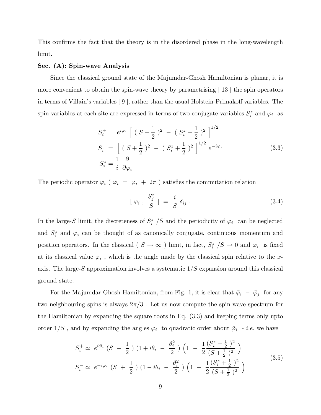This confirms the fact that the theory is in the disordered phase in the long-wavelength limit.

## Sec. (A): Spin-wave Analysis

Since the classical ground state of the Majumdar-Ghosh Hamiltonian is planar, it is more convenient to obtain the spin-wave theory by parametrising  $\lfloor 13 \rfloor$  the spin operators in terms of Villain's variables [ 9 ], rather than the usual Holstein-Primakoff variables. The spin variables at each site are expressed in terms of two conjugate variables  $S_i^z$  and  $\varphi_i$  as

$$
S_i^+ = e^{i\varphi_i} \left[ (S + \frac{1}{2})^2 - (S_i^z + \frac{1}{2})^2 \right]^{1/2}
$$
  
\n
$$
S_i^- = \left[ (S + \frac{1}{2})^2 - (S_i^z + \frac{1}{2})^2 \right]^{1/2} e^{-i\varphi_i}
$$
  
\n
$$
S_i^z = \frac{1}{i} \frac{\partial}{\partial \varphi_i}
$$
\n(3.3)

The periodic operator  $\varphi_i$  (  $\varphi_i$  =  $\varphi_i$  +  $2\pi$  ) satisfies the commutation relation

$$
[\varphi_i, \frac{S_j^z}{S}] = \frac{i}{S} \delta_{ij} . \qquad (3.4)
$$

In the large-S limit, the discreteness of  $S_i^z$  /S and the periodicity of  $\varphi_i$  can be neglected and  $S_i^z$  and  $\varphi_i$  can be thought of as canonically conjugate, continuous momentum and position operators. In the classical ( $S \to \infty$ ) limit, in fact,  $S_i^z / S \to 0$  and  $\varphi_i$  is fixed at its classical value  $\bar{\varphi}_i$ , which is the angle made by the classical spin relative to the xaxis. The large-S approximation involves a systematic  $1/S$  expansion around this classical ground state.

For the Majumdar-Ghosh Hamiltonian, from Fig. 1, it is clear that  $\bar{\varphi}_i - \bar{\varphi}_j$  for any two neighbouring spins is always  $2\pi/3$ . Let us now compute the spin wave spectrum for the Hamiltonian by expanding the square roots in Eq. (3.3) and keeping terms only upto order  $1/S$ , and by expanding the angles  $\varphi_i$  to quadratic order about  $\bar{\varphi}_i$  - *i.e.* we have

$$
S_i^+ \simeq e^{i\bar{\varphi}_i} \left( S + \frac{1}{2} \right) \left( 1 + i\theta_i \ - \ \frac{\theta_i^2}{2} \right) \left( 1 \ - \ \frac{1}{2} \frac{(S_i^z + \frac{1}{2})^2}{(S + \frac{1}{2})^2} \right)
$$
  
\n
$$
S_i^- \simeq e^{-i\bar{\varphi}_i} \left( S + \frac{1}{2} \right) \left( 1 - i\theta_i \ - \ \frac{\theta_i^2}{2} \right) \left( 1 \ - \ \frac{1}{2} \frac{(S_i^z + \frac{1}{2})^2}{(S + \frac{1}{2})^2} \right)
$$
\n
$$
(3.5)
$$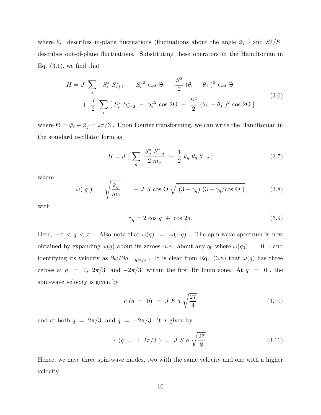where  $\theta_i$  describes in-plane fluctuations (fluctuations about the angle  $\bar{\varphi}_i$ ) and  $S_j^z/S$ describes out-of-plane fluctuations. Substituting these operators in the Hamiltonian in Eq.  $(3.1)$ , we find that

$$
H = J \sum_{i} [S_{i}^{z} S_{i+1}^{z} - S_{i}^{z} \cos \Theta - \frac{S^{2}}{2} (\theta_{i} - \theta_{j})^{2} \cos \Theta ]
$$
  
+ 
$$
\frac{J}{2} \sum_{i} [S_{i}^{z} S_{i+2}^{z} - S_{i}^{z} \cos 2\Theta - \frac{S^{2}}{2} (\theta_{i} - \theta_{j})^{2} \cos 2\Theta ]
$$
(3.6)

where  $\Theta=\bar{\varphi}_i-\bar{\varphi}_j=2\pi/3$  . Upon Fourier transforming, we can write the Hamiltonian in the standard oscillator form as

$$
H = J \left[ \sum_{q} \frac{S_{q}^{z} S_{-q}^{z}}{2 m_{q}} + \frac{1}{2} k_{q} \theta_{q} \theta_{-q} \right]
$$
 (3.7)

where

$$
\omega(\,q\,) \;=\; \sqrt{\frac{k_q}{m_q}} \;=\; -\; J\; S\; \cos\Theta\; \sqrt{\; (3-\gamma_q)\; (3-\gamma_q/\cos\Theta\; )} \qquad \qquad (3.8)
$$

with

$$
\gamma_q = 2 \cos q + \cos 2q. \tag{3.9}
$$

Here,  $-\pi < q < \pi$ . Also note that  $\omega(q) = \omega(-q)$ . The spin-wave spectrum is now obtained by expanding  $\omega(q)$  about its zeroes -*i.e.*, about any  $q_0$  where  $\omega(q_0) = 0$  - and identifying its velocity as  $\partial \omega/\partial q$  |<sub>q=q0</sub>. It is clear from Eq. (3.8) that  $\omega(q)$  has three zeroes at  $q = 0$ ,  $2\pi/3$  and  $-2\pi/3$  within the first Brillouin zone. At  $q = 0$ , the spin-wave velocity is given by

$$
c (q = 0) = J S a \sqrt{\frac{27}{4}}
$$
 (3.10)

and at both  $q = 2\pi/3$  and  $q = -2\pi/3$ , it is given by

$$
c (q = \pm 2\pi/3) = J S a \sqrt{\frac{27}{8}}.
$$
 (3.11)

Hence, we have three spin-wave modes, two with the same velocity and one with a higher velocity.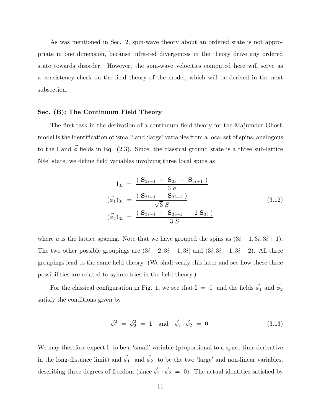As was mentioned in Sec. 2, spin-wave theory about an ordered state is not appropriate in one dimension, because infra-red divergences in the theory drive any ordered state towards disorder. However, the spin-wave velocities computed here will serve as a consistency check on the field theory of the model, which will be derived in the next subsection.

### Sec. (B): The Continuum Field Theory

The first task in the derivation of a continuum field theory for the Majumdar-Ghosh model is the identification of 'small' and 'large' variables from a local set of spins, analogous to the l and  $\vec{\phi}$  fields in Eq. (2.3). Since, the classical ground state is a three sub-lattice N'eel state, we define field variables involving three local spins as

$$
l_{3i} = \frac{(S_{3i-1} + S_{3i} + S_{3i+1})}{3 a}
$$
  
\n
$$
(\vec{\phi}_1)_{3i} = \frac{(S_{3i-1} - S_{3i+1})}{\sqrt{3} S}
$$
  
\n
$$
(\vec{\phi}_2)_{3i} = \frac{(S_{3i-1} + S_{3i+1} - 2 S_{3i})}{3 S}
$$
\n(3.12)

where a is the lattice spacing. Note that we have grouped the spins as  $(3i - 1, 3i, 3i + 1)$ . The two other possible groupings are  $(3i - 2, 3i - 1, 3i)$  and  $(3i, 3i + 1, 3i + 2)$ . All three groupings lead to the same field theory. (We shall verify this later and see how these three possibilities are related to symmetries in the field theory.)

For the classical configuration in Fig. 1, we see that  $1 = 0$  and the fields  $\vec{\phi}_1$  and  $\vec{\phi}_2$ satisfy the conditions given by

$$
\vec{\phi}_1^2 = \vec{\phi}_2^2 = 1 \text{ and } \vec{\phi}_1 \cdot \vec{\phi}_2 = 0. \tag{3.13}
$$

We may therefore expect l to be a 'small' variable (proportional to a space-time derivative in the long-distance limit) and  $\vec{\phi}_1$  and  $\vec{\phi}_2$  to be the two 'large' and non-linear variables, describing three degrees of freedom (since  $\vec{\phi}_1 \cdot \vec{\phi}_2 = 0$ ). The actual identities satisfied by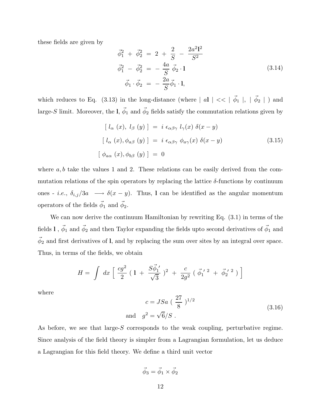these fields are given by

$$
\vec{\phi}_1^2 + \vec{\phi}_2^2 = 2 + \frac{2}{S} - \frac{2a^2l^2}{S^2} \n\vec{\phi}_1^2 - \vec{\phi}_2^2 = -\frac{4a}{S}\vec{\phi}_2 \cdot l \n\vec{\phi}_1 \cdot \vec{\phi}_2 = -\frac{2a}{S}\vec{\phi}_1 \cdot l,
$$
\n(3.14)

which reduces to Eq. (3.13) in the long-distance (where  $|aI| \ll |\vec{\phi}_1|, |\vec{\phi}_2|$ ) and large-S limit. Moreover, the  $l, \vec{\phi}_1$  and  $\vec{\phi}_2$  fields satisfy the commutation relations given by

$$
[l_{\alpha}(x), l_{\beta}(y)] = i \epsilon_{\alpha\beta\gamma} l_{\gamma}(x) \delta(x - y)
$$
  

$$
[l_{\alpha}(x), \phi_{a\beta}(y)] = i \epsilon_{\alpha\beta\gamma} \phi_{a\gamma}(x) \delta(x - y)
$$
  

$$
[\phi_{a\alpha}(x), \phi_{b\beta}(y)] = 0
$$
\n(3.15)

where  $a, b$  take the values 1 and 2. These relations can be easily derived from the commutation relations of the spin operators by replacing the lattice  $\delta$ -functions by continuum ones - *i.e.*,  $\delta_{i,j}/3a \longrightarrow \delta(x-y)$ . Thus, l can be identified as the angular momentum operators of the fields  $\vec{\phi}_1$  and  $\vec{\phi}_2$ .

We can now derive the continuum Hamiltonian by rewriting Eq. (3.1) in terms of the fields  $1$  ,  $\vec{\phi}_1$  and  $\vec{\phi}_2$  and then Taylor expanding the fields upto second derivatives of  $\vec{\phi}_1$  and  $\vec{\phi}_2$  and first derivatives of l, and by replacing the sum over sites by an integral over space. Thus, in terms of the fields, we obtain

$$
H = \int dx \left[ \frac{cg^2}{2} (1 + \frac{S\vec{\phi}_1'}{\sqrt{3}})^2 + \frac{c}{2g^2} (\vec{\phi}_1'{}^2 + \vec{\phi}_2'{}^2) \right]
$$

where

$$
c = JSa \left(\frac{27}{8}\right)^{1/2}
$$
  
\n
$$
g^2 = \sqrt{6}/S \tag{3.16}
$$

As before, we see that large-S corresponds to the weak coupling, perturbative regime. Since analysis of the field theory is simpler from a Lagrangian formulation, let us deduce a Lagrangian for this field theory. We define a third unit vector

and

$$
\vec{\phi}_3 = \vec{\phi}_1 \times \vec{\phi}_2
$$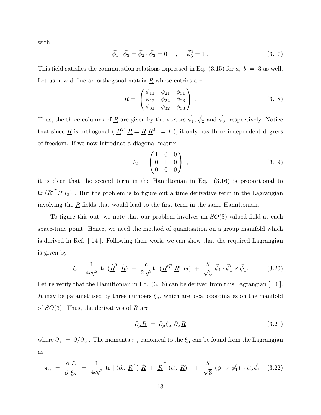with

$$
\vec{\phi}_1 \cdot \vec{\phi}_3 = \vec{\phi}_2 \cdot \vec{\phi}_3 = 0 \quad , \quad \vec{\phi}_3^2 = 1 . \tag{3.17}
$$

This field satisfies the commutation relations expressed in Eq.  $(3.15)$  for  $a, b = 3$  as well. Let us now define an orthogonal matrix  $\underline{R}$  whose entries are

$$
\underline{R} = \begin{pmatrix} \phi_{11} & \phi_{21} & \phi_{31} \\ \phi_{12} & \phi_{22} & \phi_{23} \\ \phi_{31} & \phi_{32} & \phi_{33} \end{pmatrix} . \tag{3.18}
$$

Thus, the three columns of  $\underline{R}$  are given by the vectors  $\vec{\phi}_1$ ,  $\vec{\phi}_2$  and  $\vec{\phi}_3$  respectively. Notice that since <u>R</u> is orthogonal ( $\underline{R}^T$   $\underline{R} = \underline{R} \underline{R}^T = I$ ), it only has three independent degrees of freedom. If we now introduce a diagonal matrix

$$
I_2 = \begin{pmatrix} 1 & 0 & 0 \\ 0 & 1 & 0 \\ 0 & 0 & 0 \end{pmatrix} , \qquad (3.19)
$$

it is clear that the second term in the Hamiltonian in Eq. (3.16) is proportional to tr  $(\underline{R}^{\prime T} \underline{R}^{\prime} I_2)$ . But the problem is to figure out a time derivative term in the Lagrangian involving the  $\underline{R}$  fields that would lead to the first term in the same Hamiltonian.

To figure this out, we note that our problem involves an  $SO(3)$ -valued field at each space-time point. Hence, we need the method of quantisation on a group manifold which is derived in Ref. [ 14 ]. Following their work, we can show that the required Lagrangian is given by

$$
\mathcal{L} = \frac{1}{4cg^2} \text{ tr } (\dot{\underline{R}}^T \dot{\underline{R}}) - \frac{c}{2 g^2} \text{ tr } (\underline{R}'^T \underline{R}' I_2) + \frac{S}{\sqrt{3}} \vec{\phi}_1 \cdot \vec{\phi}_1' \times \dot{\vec{\phi}}_1.
$$
 (3.20)

Let us verify that the Hamiltonian in Eq.  $(3.16)$  can be derived from this Lagrangian [14]. <u>R</u> may be parametrised by three numbers  $\xi_{\alpha}$ , which are local coordinates on the manifold of  $SO(3)$ . Thus, the derivatives of  $\underline{R}$  are

$$
\partial_{\mu} \underline{R} = \partial_{\mu} \xi_{\alpha} \; \partial_{\alpha} \underline{R} \tag{3.21}
$$

where  $\partial_{\alpha} = \partial/\partial_{\alpha}$ . The momenta  $\pi_{\alpha}$  canonical to the  $\xi_{\alpha}$  can be found from the Lagrangian as

$$
\pi_{\alpha} = \frac{\partial \mathcal{L}}{\partial \dot{\xi}_{\alpha}} = \frac{1}{4cg^2} tr \left[ (\partial_{\alpha} \underline{R}^T) \underline{\dot{R}} + \underline{\dot{R}}^T (\partial_{\alpha} \underline{R}) \right] + \frac{S}{\sqrt{3}} (\vec{\phi}_1 \times \vec{\phi}'_1) \cdot \partial_{\alpha} \vec{\phi}_1 \quad (3.22)
$$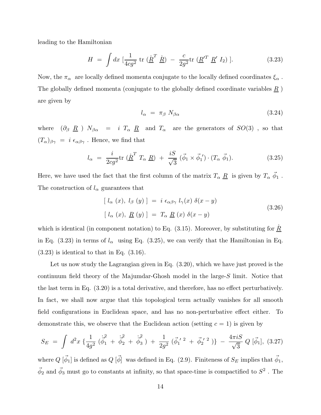leading to the Hamiltonian

$$
H = \int dx \, \left[ \frac{1}{4cg^2} \, \text{tr} \, \left( \frac{\dot{R}}{2} \right)^T - \frac{c}{2g^2} \text{tr} \, \left( \frac{R'}{2} \right)^T \right]. \tag{3.23}
$$

Now, the  $\pi_{\alpha}$  are locally defined momenta conjugate to the locally defined coordinates  $\xi_{\alpha}$ . The globally defined momenta (conjugate to the globally defined coordinate variables  $\underline{R}$ ) are given by

$$
l_{\alpha} = \pi_{\beta} N_{\beta \alpha} \tag{3.24}
$$

where  $(\partial_{\beta} \underline{R}) N_{\beta\alpha} = i T_{\alpha} \underline{R}$  and  $T_{\alpha}$  are the generators of  $SO(3)$ , so that  $(T_{\alpha})_{\beta\gamma} = i \epsilon_{\alpha\beta\gamma}$ . Hence, we find that

$$
l_{\alpha} = \frac{i}{2cg^2} \text{tr}\left(\underline{\dot{R}}^T T_{\alpha} \underline{R}\right) + \frac{iS}{\sqrt{3}} \left(\vec{\phi}_1 \times \vec{\phi}_1\right) \cdot \left(T_{\alpha} \vec{\phi}_1\right). \tag{3.25}
$$

Here, we have used the fact that the first column of the matrix  $T_{\alpha}$   $\underline{R}$  is given by  $T_{\alpha}$   $\vec{\phi}_1$ . The construction of  $l_{\alpha}$  guarantees that

$$
[l_{\alpha}(x), l_{\beta}(y)] = i \epsilon_{\alpha\beta\gamma} l_{\gamma}(x) \delta(x - y)
$$
  

$$
[l_{\alpha}(x), \underline{R}(y)] = T_{\alpha} \underline{R}(x) \delta(x - y)
$$
 (3.26)

which is identical (in component notation) to Eq.  $(3.15)$ . Moreover, by substituting for  $\underline{R}$ in Eq. (3.23) in terms of  $l_{\alpha}$  using Eq. (3.25), we can verify that the Hamiltonian in Eq.  $(3.23)$  is identical to that in Eq.  $(3.16)$ .

Let us now study the Lagrangian given in Eq. (3.20), which we have just proved is the continuum field theory of the Majumdar-Ghosh model in the large-S limit. Notice that the last term in Eq. (3.20) is a total derivative, and therefore, has no effect perturbatively. In fact, we shall now argue that this topological term actually vanishes for all smooth field configurations in Euclidean space, and has no non-perturbative effect either. To demonstrate this, we observe that the Euclidean action (setting  $c = 1$ ) is given by

$$
S_E = \int d^2x \left\{ \frac{1}{4g^2} \left( \dot{\vec{\phi}}_1 + \dot{\vec{\phi}}_2 + \dot{\vec{\phi}}_3 \right) + \frac{1}{2g^2} \left( \vec{\phi}_1^{\prime 2} + \vec{\phi}_2^{\prime 2} \right) \right\} - \frac{4\pi i S}{\sqrt{3}} Q \left[ \vec{\phi}_1 \right], (3.27)
$$

where  $Q~[\vec{\phi}_1]$  is defined as  $Q~[\vec{\phi}]$  was defined in Eq. (2.9). Finiteness of  $S_E$  implies that  $\vec{\phi}_1$ ,  $\vec{\phi}_2$  and  $\vec{\phi}_3$  must go to constants at infinity, so that space-time is compactified to  $S^2$  . The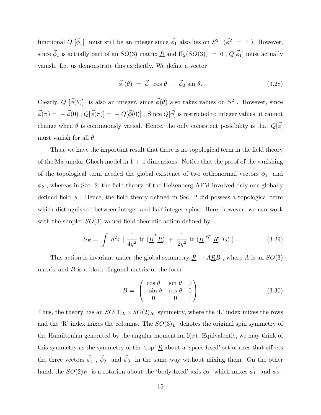functional  $Q[\vec{\phi}_1]$  must still be an integer since  $\vec{\phi}_1$  also lies on  $S^2(\vec{\phi}^2 = 1)$ . However, since  $\vec{\phi}_1$  is actually part of an  $SO(3)$  matrix  $\underline{R}$  and  $\Pi_2(SO(3))~=~0$  ,  $Q[\vec{\phi}_1]$  must actually vanish. Let us demonstrate this explicitly. We define a vector

$$
\vec{\phi}(\theta) = \vec{\phi}_1 \cos \theta + \vec{\phi}_2 \sin \theta. \tag{3.28}
$$

Clearly,  $Q~[\vec{\phi}(\theta)]$  is also an integer, since  $\vec{\phi}(\theta)$  also takes values on  $S^2$ . However, since  $\vec{\phi}(\pi) = -\vec{\phi}(0)$ ,  $Q[\vec{\phi}(\pi)] = -Q[\vec{\phi}(0)]$ . Since  $Q[\vec{\phi}]$  is restricted to integer values, it cannot change when  $\theta$  is continuously varied. Hence, the only consistent possibility is that  $Q[\phi]$ must vanish for all  $\theta$ .

Thus, we have the important result that there is no topological term in the field theory of the Majumdar-Ghosh model in  $1 + 1$  dimensions. Notice that the proof of the vanishing of the topological term needed the global existence of two orthonormal vectors  $\phi_1$  and  $\phi_2$  , whereas in Sec. 2, the field theory of the Heisenberg AFM involved only one globally defined field  $\phi$ . Hence, the field theory defined in Sec. 2 did possess a topological term which distinguished between integer and half-integer spins. Here, however, we can work with the simpler  $SO(3)$ -valued field theoretic action defined by

$$
S_E = \int d^2x \left[ \frac{1}{4g^2} \text{ tr} \left( \underline{\dot{R}}^T \underline{R} \right) + \frac{1}{2g^2} \text{ tr} \left( \underline{R}^{\prime T} \underline{R}^{\prime} I_2 \right) \right]. \tag{3.29}
$$

This action is invariant under the global symmetry  $\underline{R} \to A\underline{R}B$ , where A is an  $SO(3)$ matrix and  $B$  is a block diagonal matrix of the form

$$
B = \begin{pmatrix} \cos \theta & \sin \theta & 0 \\ -\sin \theta & \cos \theta & 0 \\ 0 & 0 & 1 \end{pmatrix}
$$
 (3.30)

Thus, the theory has an  $SO(3)_L \times SO(2)_R$  symmetry, where the 'L' index mixes the rows and the 'R' index mixes the columns. The  $SO(3)<sub>L</sub>$  denotes the original spin symmetry of the Hamiltonian generated by the angular momentum  $I(x)$ . Equivalently, we may think of this symmetry as the symmetry of the 'top'  $\underline{R}$  about a 'space-fixed' set of axes that affects the three vectors  $\vec{\phi}_1$ ,  $\vec{\phi}_2$  and  $\vec{\phi}_3$  in the same way without mixing them. On the other hand, the  $SO(2)_R$  is a rotation about the 'body-fixed' axis  $\vec{\phi}_3$  which mixes  $\vec{\phi}_1$  and  $\vec{\phi}_2$ .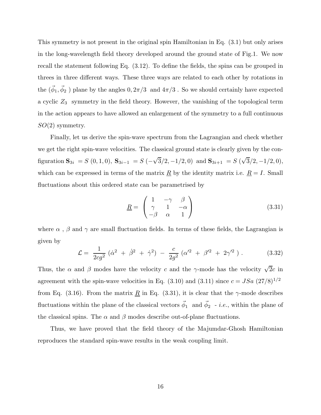This symmetry is not present in the original spin Hamiltonian in Eq. (3.1) but only arises in the long-wavelength field theory developed around the ground state of Fig.1. We now recall the statement following Eq. (3.12). To define the fields, the spins can be grouped in threes in three different ways. These three ways are related to each other by rotations in the  $(\vec{\phi}_1, \vec{\phi}_2)$  plane by the angles  $0, 2\pi/3$  and  $4\pi/3$  . So we should certainly have expected a cyclic  $Z_3$  symmetry in the field theory. However, the vanishing of the topological term in the action appears to have allowed an enlargement of the symmetry to a full continuous  $SO(2)$  symmetry.

Finally, let us derive the spin-wave spectrum from the Lagrangian and check whether we get the right spin-wave velocities. The classical ground state is clearly given by the configuration  $S_{3i} = S(0,1,0)$ ,  $S_{3i-1} = S(-\sqrt{3}/2,-1/2,0)$  and  $S_{3i+1} = S(\sqrt{3}/2,-1/2,0)$ , which can be expressed in terms of the matrix  $\underline{R}$  by the identity matrix i.e.  $\underline{R} = I$ . Small fluctuations about this ordered state can be parametrised by

$$
\underline{R} = \begin{pmatrix} 1 & -\gamma & \beta \\ \gamma & 1 & -\alpha \\ -\beta & \alpha & 1 \end{pmatrix}
$$
 (3.31)

where  $\alpha$  ,  $\beta$  and  $\gamma$  are small fluctuation fields. In terms of these fields, the Lagrangian is given by

$$
\mathcal{L} = \frac{1}{2cg^2} (\dot{\alpha}^2 + \dot{\beta}^2 + \dot{\gamma}^2) - \frac{c}{2g^2} (\alpha'^2 + \beta'^2 + 2\gamma'^2). \tag{3.32}
$$

Thus, the  $\alpha$  and  $\beta$  modes have the velocity c and the γ-mode has the velocity  $\sqrt{2}c$  in agreement with the spin-wave velocities in Eq.  $(3.10)$  and  $(3.11)$  since  $c = JSa \ (27/8)^{1/2}$ from Eq. (3.16). From the matrix <u>R</u> in Eq. (3.31), it is clear that the  $\gamma$ -mode describes fluctuations within the plane of the classical vectors  $\vec{\phi}_1$  and  $\vec{\phi}_2$  - *i.e.*, within the plane of the classical spins. The  $\alpha$  and  $\beta$  modes describe out-of-plane fluctuations.

Thus, we have proved that the field theory of the Majumdar-Ghosh Hamiltonian reproduces the standard spin-wave results in the weak coupling limit.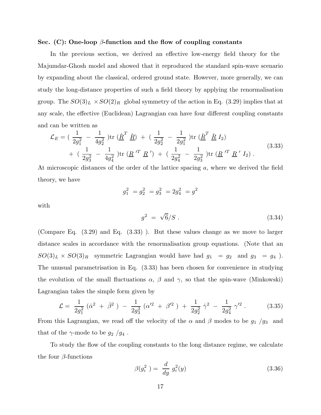### Sec. (C): One-loop  $\beta$ -function and the flow of coupling constants

In the previous section, we derived an effective low-energy field theory for the Majumdar-Ghosh model and showed that it reproduced the standard spin-wave scenario by expanding about the classical, ordered ground state. However, more generally, we can study the long-distance properties of such a field theory by applying the renormalisation group. The  $SO(3)_L \times SO(2)_R$  global symmetry of the action in Eq. (3.29) implies that at any scale, the effective (Euclidean) Lagrangian can have four different coupling constants and can be written as

$$
\mathcal{L}_{E} = \left(\frac{1}{2g_{1}^{2}} - \frac{1}{4g_{2}^{2}}\right) \text{tr}\left(\dot{\underline{R}}^{T} \dot{\underline{R}}\right) + \left(\frac{1}{2g_{2}^{2}} - \frac{1}{2g_{1}^{2}}\right) \text{tr}\left(\dot{\underline{R}}^{T} \dot{\underline{R}} I_{2}\right) + \left(\frac{1}{2g_{3}^{2}} - \frac{1}{4g_{4}^{2}}\right) \text{tr}\left(\underline{R}^{'T} \underline{R}'\right) + \left(\frac{1}{2g_{4}^{2}} - \frac{1}{2g_{3}^{2}}\right) \text{tr}\left(\underline{R}^{'T} \underline{R}' I_{2}\right).
$$
\n(3.33)

At microscopic distances of the order of the lattice spacing a, where we derived the field theory, we have

$$
g_1^2 = g_2^2 = g_3^2 = 2g_4^2 = g^2
$$

with

$$
g^2 = \sqrt{6}/S \ . \tag{3.34}
$$

(Compare Eq. (3.29) and Eq. (3.33) ). But these values change as we move to larger distance scales in accordance with the renormalisation group equations. (Note that an  $SO(3)_L \times SO(3)_R$  symmetric Lagrangian would have had  $g_1 = g_2$  and  $g_3 = g_4$ ). The unusual parametrisation in Eq. (3.33) has been chosen for convenience in studying the evolution of the small fluctuations  $\alpha$ ,  $\beta$  and  $\gamma$ , so that the spin-wave (Minkowski) Lagrangian takes the simple form given by

$$
\mathcal{L} = \frac{1}{2g_1^2} \left( \dot{\alpha}^2 + \dot{\beta}^2 \right) - \frac{1}{2g_3^2} \left( \alpha'^2 + \beta'^2 \right) + \frac{1}{2g_2^2} \dot{\gamma}^2 - \frac{1}{2g_4^2} \gamma'^2 \,. \tag{3.35}
$$

From this Lagrangian, we read off the velocity of the  $\alpha$  and  $\beta$  modes to be  $g_1/g_3$  and that of the  $\gamma$ -mode to be  $g_2/g_4$ .

To study the flow of the coupling constants to the long distance regime, we calculate the four  $\beta$ -functions

$$
\beta(g_i^2) = \frac{d}{dy} g_i^2(y) \tag{3.36}
$$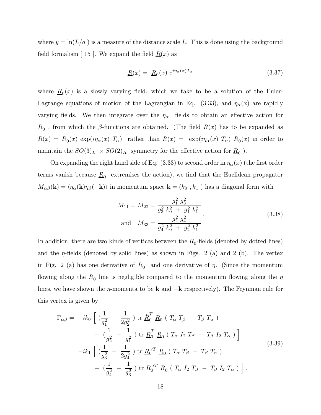where  $y = \ln(L/a)$  is a measure of the distance scale L. This is done using the background field formalism  $\mid 15 \mid$ . We expand the field  $R(x)$  as

$$
\underline{R}(x) = \underline{R}_0(x) e^{i\eta_\alpha(x)T_\alpha} \tag{3.37}
$$

where  $\underline{R}_0(x)$  is a slowly varying field, which we take to be a solution of the Euler-Lagrange equations of motion of the Lagrangian in Eq. (3.33), and  $\eta_{\alpha}(x)$  are rapidly varying fields. We then integrate over the  $\eta_{\alpha}$  fields to obtain an effective action for  $\underline{R}_0$ , from which the β-functions are obtained. (The field  $\underline{R}(x)$  has to be expanded as  $\underline{R}(x) = \underline{R}_0(x) \exp(i\eta_\alpha(x) T_\alpha)$  rather than  $\underline{R}(x) = \exp(i\eta_\alpha(x) T_\alpha) \underline{R}_0(x)$  in order to maintain the  $SO(3)_L \times SO(2)_R$  symmetry for the effective action for  $\underline{R}_0$ .

On expanding the right hand side of Eq.  $(3.33)$  to second order in  $\eta_{\alpha}(x)$  (the first order terms vanish because  $\underline{R}_0$  extremises the action), we find that the Euclidean propagator  $M_{\alpha\beta}(\mathbf{k}) = \langle \eta_{\alpha}(\mathbf{k})\eta_{\beta}(-\mathbf{k})\rangle$  in momentum space  $\mathbf{k} = (k_0, k_1)$  has a diagonal form with

$$
M_{11} = M_{22} = \frac{g_1^2 g_3^2}{g_3^2 k_0^2 + g_1^2 k_1^2}
$$
  
and 
$$
M_{33} = \frac{g_2^2 g_4^2}{g_4^2 k_0^2 + g_2^2 k_1^2}
$$
 (3.38)

In addition, there are two kinds of vertices between the  $\underline{R}_0$ -fields (denoted by dotted lines) and the  $\eta$ -fields (denoted by solid lines) as shown in Figs. 2 (a) and 2 (b). The vertex in Fig. 2 (a) has one derivative of  $\underline{R}_0$  and one derivative of  $\eta$ . (Since the momentum flowing along the  $\underline{R}_0$  line is negligible compared to the momentum flowing along the  $\eta$ lines, we have shown the  $\eta$ -momenta to be k and  $-k$  respectively). The Feynman rule for this vertex is given by

$$
\Gamma_{\alpha\beta} = -ik_0 \left[ \left( \frac{1}{g_1^2} - \frac{1}{2g_2^2} \right) \text{tr } \underline{\dot{R}}_0^T \underline{R}_0 \left( T_\alpha T_\beta - T_\beta T_\alpha \right) \right. \n+ \left. \left( \frac{1}{g_2^2} - \frac{1}{g_1^2} \right) \text{tr } \underline{\dot{R}}_0^T \underline{R}_0 \left( T_\alpha I_2 T_\beta - T_\beta I_2 T_\alpha \right) \right] \n-ik_1 \left[ \left( \frac{1}{g_3^2} - \frac{1}{2g_4^2} \right) \text{tr } \underline{R}_0^{\prime T} \underline{R}_0 \left( T_\alpha T_\beta - T_\beta T_\alpha \right) \right. \n+ \left. \left( \frac{1}{g_4^2} - \frac{1}{g_3^2} \right) \text{tr } \underline{R}_0^{\prime T} \underline{R}_0 \left( T_\alpha I_2 T_\beta - T_\beta I_2 T_\alpha \right) \right].
$$
\n(3.39)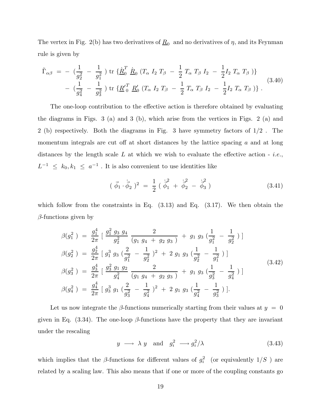The vertex in Fig. 2(b) has two derivatives of  $\underline{R}_0$  and no derivatives of  $\eta$ , and its Feynman rule is given by

$$
\tilde{\Gamma}_{\alpha\beta} = -\left(\frac{1}{g_2^2} - \frac{1}{g_1^2}\right) \text{tr}\left\{\underline{\dot{R}}_0^T \ \underline{\dot{R}}_0 \ (T_\alpha \ I_2 \ T_\beta - \frac{1}{2} \ T_\alpha \ T_\beta \ I_2 - \frac{1}{2} I_2 \ T_\alpha \ T_\beta \ )\right\} \n- \left(\frac{1}{g_4^2} - \frac{1}{g_3^2}\right) \text{tr}\left\{\underline{R'}_0^T \ \underline{R}'_0 \ (T_\alpha \ I_2 \ T_\beta - \frac{1}{2} \ T_\alpha \ T_\beta \ I_2 - \frac{1}{2} I_2 \ T_\alpha \ T_\beta \ )\right\}.
$$
\n(3.40)

The one-loop contribution to the effective action is therefore obtained by evaluating the diagrams in Figs. 3 (a) and 3 (b), which arise from the vertices in Figs. 2 (a) and 2 (b) respectively. Both the diagrams in Fig. 3 have symmetry factors of 1/2 . The momentum integrals are cut off at short distances by the lattice spacing  $a$  and at long distances by the length scale L at which we wish to evaluate the effective action - *i.e.*,  $L^{-1} \leq k_0, k_1 \leq a^{-1}$ . It is also convenient to use identities like

$$
(\vec{\phi}_1 \cdot \dot{\vec{\phi}}_2)^2 = \frac{1}{2} (\dot{\vec{\phi}}_1^2 + \dot{\vec{\phi}}_2^2 - \dot{\vec{\phi}}_3^2)
$$
 (3.41)

which follow from the constraints in Eq.  $(3.13)$  and Eq.  $(3.17)$ . We then obtain the  $\beta$ -functions given by

$$
\beta(g_1^2) = \frac{g_1^4}{2\pi} \left[ \frac{g_1^2 g_3 g_4}{g_2^2} \frac{2}{(g_1 g_4 + g_2 g_3)} + g_1 g_3 \left( \frac{1}{g_1^2} - \frac{1}{g_2^2} \right) \right]
$$
  
\n
$$
\beta(g_2^2) = \frac{g_2^4}{2\pi} \left[ g_1^3 g_3 \left( \frac{2}{g_1^2} - \frac{1}{g_2^2} \right)^2 + 2 g_1 g_3 \left( \frac{1}{g_2^2} - \frac{1}{g_1^2} \right) \right]
$$
  
\n
$$
\beta(g_3^2) = \frac{g_3^4}{2\pi} \left[ \frac{g_3^2 g_1 g_2}{g_4^2} \frac{2}{(g_1 g_4 + g_2 g_3)} + g_1 g_3 \left( \frac{1}{g_3^2} - \frac{1}{g_4^2} \right) \right]
$$
  
\n
$$
\beta(g_4^2) = \frac{g_4^4}{2\pi} \left[ g_3^3 g_1 \left( \frac{2}{g_3^2} - \frac{1}{g_4^2} \right)^2 + 2 g_1 g_3 \left( \frac{1}{g_4^2} - \frac{1}{g_3^2} \right) \right].
$$
\n(3.42)

Let us now integrate the  $\beta$ -functions numerically starting from their values at  $y = 0$ given in Eq.  $(3.34)$ . The one-loop  $\beta$ -functions have the property that they are invariant under the rescaling

$$
y \longrightarrow \lambda \ y \quad \text{and} \quad g_i^2 \longrightarrow g_i^2/\lambda \tag{3.43}
$$

which implies that the  $\beta$ -functions for different values of  $g_i^2$  (or equivalently  $1/S$ ) are related by a scaling law. This also means that if one or more of the coupling constants go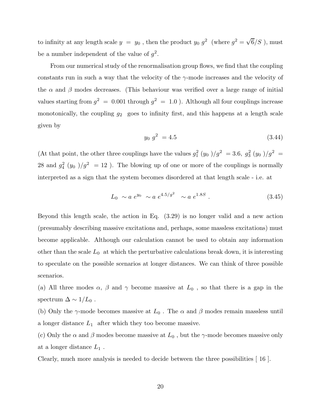to infinity at any length scale  $y = y_0$ , then the product  $y_0 g^2$  (where  $g^2 = \sqrt{6}/S$ ), must be a number independent of the value of  $g^2$ .

From our numerical study of the renormalisation group flows, we find that the coupling constants run in such a way that the velocity of the  $\gamma$ -mode increases and the velocity of the  $\alpha$  and  $\beta$  modes decreases. (This behaviour was verified over a large range of initial values starting from  $g^2 = 0.001$  through  $g^2 = 1.0$  ). Although all four couplings increase monotonically, the coupling  $g_2$  goes to infinity first, and this happens at a length scale given by

$$
y_0 g^2 = 4.5 \tag{3.44}
$$

(At that point, the other three couplings have the values  $g_1^2(y_0)/g^2 = 3.6$ ,  $g_3^2(y_0)/g^2 =$ 28 and  $g_4^2$  (y<sub>0</sub>)/ $g^2$  = 12). The blowing up of one or more of the couplings is normally interpreted as a sign that the system becomes disordered at that length scale - i.e. at

$$
L_0 \sim a \, e^{y_0} \sim a \, e^{4.5/g^2} \sim a \, e^{1.8S} \,. \tag{3.45}
$$

Beyond this length scale, the action in Eq. (3.29) is no longer valid and a new action (presumably describing massive excitations and, perhaps, some massless excitations) must become applicable. Although our calculation cannot be used to obtain any information other than the scale  $L_0$  at which the perturbative calculations break down, it is interesting to speculate on the possible scenarios at longer distances. We can think of three possible scenarios.

(a) All three modes  $\alpha$ ,  $\beta$  and  $\gamma$  become massive at  $L_0$ , so that there is a gap in the spectrum  $\Delta \sim 1/L_0$ .

(b) Only the  $\gamma$ -mode becomes massive at  $L_0$ . The  $\alpha$  and  $\beta$  modes remain massless until a longer distance  $L_1$  after which they too become massive.

(c) Only the  $\alpha$  and  $\beta$  modes become massive at  $L_0$ , but the  $\gamma$ -mode becomes massive only at a longer distance  $L_1$ .

Clearly, much more analysis is needed to decide between the three possibilities [ 16 ].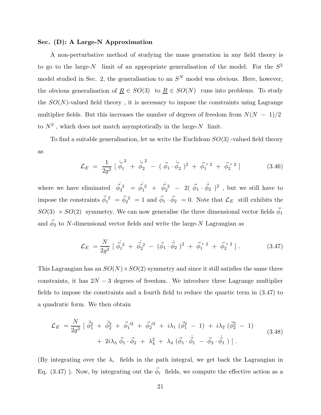## Sec. (D): A Large-N Approximation

A non-perturbative method of studying the mass generation in any field theory is to go to the large-N limit of an appropriate generalisation of the model. For the  $S^2$ model studied in Sec. 2, the generalisation to an  $S<sup>N</sup>$  model was obvious. Here, however, the obvious generalisation of  $\underline{R} \in SO(3)$  to  $\underline{R} \in SO(N)$  runs into problems. To study the  $SO(N)$ -valued field theory, it is necessary to impose the constraints using Lagrange multiplier fields. But this increases the number of degrees of freedom from  $N(N - 1)/2$ to  $N^2$ , which does not match asymptotically in the large- $N$  limit.

To find a suitable generalisation, let us write the Euclidean  $SO(3)$  -valued field theory as

$$
\mathcal{L}_E = \frac{1}{2g^2} \left[ \dot{\vec{\phi}}_1^2 + \dot{\vec{\phi}}_2^2 - (\vec{\phi}_1 \cdot \dot{\vec{\phi}}_2)^2 + \vec{\phi}_1^{\;\prime \; 2} + \vec{\phi}_2^{\;\prime \; 2} \right] \tag{3.46}
$$

where we have eliminated  $\dot{\vec{\phi}}_3^2 = \dot{\vec{\phi}}_1^2 + \dot{\vec{\phi}}_2^2 - 2(\vec{\phi}_1 \cdot \vec{\phi}_2)$  $\dot{\vec{\phi}}_2$   $)^2$ , but we still have to impose the constraints  $\vec{\phi}_1^2 = \vec{\phi}_2^2 = 1$  and  $\vec{\phi}_1 \cdot \vec{\phi}_2 = 0$ . Note that  $\mathcal{L}_E$  still exhibits the  $SO(3) \times SO(2)$  symmetry. We can now generalise the three dimensional vector fields  $\vec{\phi}_1$ and  $\vec{\phi}_2$  to N-dimensional vector fields and write the large-N Lagrangian as

$$
\mathcal{L}_E = \frac{N}{2g^2} \left[ \vec{\phi}_1^2 + \vec{\phi}_2^2 - (\vec{\phi}_1 \cdot \vec{\phi}_2)^2 + \vec{\phi}_1^{\prime 2} + \vec{\phi}_2^{\prime 2} \right]. \tag{3.47}
$$

This Lagrangian has an  $SO(N) \times SO(2)$  symmetry and since it still satisfies the same three constraints, it has  $2N - 3$  degrees of freedom. We introduce three Lagrange multiplier fields to impose the constraints and a fourth field to reduce the quartic term in (3.47) to a quadratic form. We then obtain

$$
\mathcal{L}_E = \frac{N}{2g^2} \left[ \dot{\vec{\phi}}_1^2 + \dot{\vec{\phi}}_2^2 + \vec{\phi}_1^2{}^2 + \vec{\phi}_2^2{}^2 + i\lambda_1 (\vec{\phi}_1^2 - 1) + i\lambda_2 (\vec{\phi}_2^2 - 1) \right. \n+ 2i\lambda_3 \vec{\phi}_1 \cdot \vec{\phi}_2 + \lambda_4^2 + \lambda_4 (\vec{\phi}_1 \cdot \vec{\phi}_1 - \vec{\phi}_2 \cdot \vec{\phi}_1) \right].
$$
\n(3.48)

(By integrating over the  $\lambda_i$  fields in the path integral, we get back the Lagrangian in Eq. (3.47) ). Now, by integrating out the  $\vec{\phi}_i$  fields, we compute the effective action as a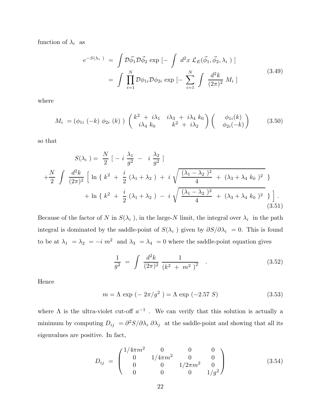function of  $\lambda_i$  as

$$
e^{-S(\lambda_i)} = \int \mathcal{D}\vec{\phi}_1 \mathcal{D}\vec{\phi}_2 \exp\left[-\int d^2x \mathcal{L}_E(\vec{\phi}_1, \vec{\phi}_2, \lambda_i)\right]
$$

$$
= \int \prod_{i=1}^N \mathcal{D}\phi_{1i} \mathcal{D}\phi_{2i} \exp\left[-\sum_{i=1}^N \int \frac{d^2k}{(2\pi)^2} M_i\right]
$$
(3.49)

where

$$
M_i = (\phi_{1i} (-k) \phi_{2i} (k)) \begin{pmatrix} k^2 + i\lambda_1 & i\lambda_3 + i\lambda_4 & k_0 \\ i\lambda_4 & k_0 & k^2 + i\lambda_2 \end{pmatrix} \begin{pmatrix} \phi_{1i}(k) \\ \phi_{2i}(-k) \end{pmatrix}
$$
 (3.50)

so that

$$
S(\lambda_i) = \frac{N}{2} \left[ -i \frac{\lambda_1}{g^2} - i \frac{\lambda_2}{g^2} \right]
$$
  
+ 
$$
\frac{N}{2} \int \frac{d^2 k}{(2\pi)^2} \left[ \ln \left\{ k^2 + \frac{i}{2} (\lambda_1 + \lambda_2) + i \sqrt{\frac{(\lambda_1 - \lambda_2)^2}{4} + (\lambda_3 + \lambda_4 k_0)^2} \right\} + \ln \left\{ k^2 + \frac{i}{2} (\lambda_1 + \lambda_2) - i \sqrt{\frac{(\lambda_1 - \lambda_2)^2}{4} + (\lambda_3 + \lambda_4 k_0)^2} \right\} \right].
$$
\n(3.51)

Because of the factor of N in  $S(\lambda_i)$ , in the large-N limit, the integral over  $\lambda_i$  in the path integral is dominated by the saddle-point of  $S(\lambda_i)$  given by  $\partial S/\partial \lambda_i = 0$ . This is found to be at  $\lambda_1 = \lambda_2 = -i m^2$  and  $\lambda_3 = \lambda_4 = 0$  where the saddle-point equation gives

$$
\frac{1}{g^2} = \int \frac{d^2k}{(2\pi)^2} \frac{1}{(k^2 + m^2)^2} \quad . \tag{3.52}
$$

Hence

$$
m = \Lambda \exp(-2\pi/g^2) = \Lambda \exp(-2.57 S)
$$
 (3.53)

where  $\Lambda$  is the ultra-violet cut-off  $a^{-1}$ . We can verify that this solution is actually a minimum by computing  $D_{ij} = \frac{\partial^2 S}{\partial \lambda_i} \frac{\partial \lambda_j}{\partial \lambda_j}$  at the saddle-point and showing that all its eigenvalues are positive. In fact,

$$
D_{ij} = \begin{pmatrix} 1/4\pi m^2 & 0 & 0 & 0\\ 0 & 1/4\pi m^2 & 0 & 0\\ 0 & 0 & 1/2\pi m^2 & 0\\ 0 & 0 & 0 & 1/g^2 \end{pmatrix}
$$
(3.54)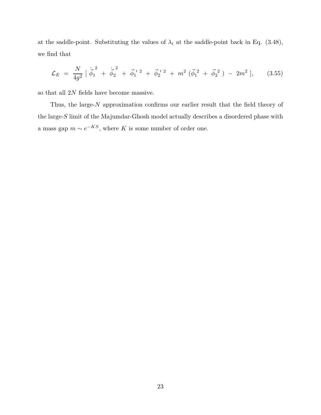at the saddle-point. Substituting the values of  $\lambda_i$  at the saddle-point back in Eq. (3.48), we find that

$$
\mathcal{L}_E = \frac{N}{4g^2} \left[ \dot{\vec{\phi}}_1^2 + \dot{\vec{\phi}}_2^2 + \vec{\phi}_1^2 + \vec{\phi}_2^2 + m^2 (\vec{\phi}_1^2 + \vec{\phi}_2^2) - 2m^2 \right], \qquad (3.55)
$$

so that all 2N fields have become massive.

Thus, the large-N approximation confirms our earlier result that the field theory of the large-S limit of the Majumdar-Ghosh model actually describes a disordered phase with a mass gap  $m \sim e^{-KS}$ , where K is some number of order one.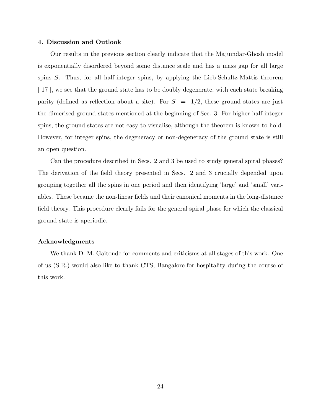## 4. Discussion and Outlook

Our results in the previous section clearly indicate that the Majumdar-Ghosh model is exponentially disordered beyond some distance scale and has a mass gap for all large spins  $S$ . Thus, for all half-integer spins, by applying the Lieb-Schultz-Mattis theorem [ 17 ], we see that the ground state has to be doubly degenerate, with each state breaking parity (defined as reflection about a site). For  $S = 1/2$ , these ground states are just the dimerised ground states mentioned at the beginning of Sec. 3. For higher half-integer spins, the ground states are not easy to visualise, although the theorem is known to hold. However, for integer spins, the degeneracy or non-degeneracy of the ground state is still an open question.

Can the procedure described in Secs. 2 and 3 be used to study general spiral phases? The derivation of the field theory presented in Secs. 2 and 3 crucially depended upon grouping together all the spins in one period and then identifying 'large' and 'small' variables. These became the non-linear fields and their canonical momenta in the long-distance field theory. This procedure clearly fails for the general spiral phase for which the classical ground state is aperiodic.

## Acknowledgments

We thank D. M. Gaitonde for comments and criticisms at all stages of this work. One of us (S.R.) would also like to thank CTS, Bangalore for hospitality during the course of this work.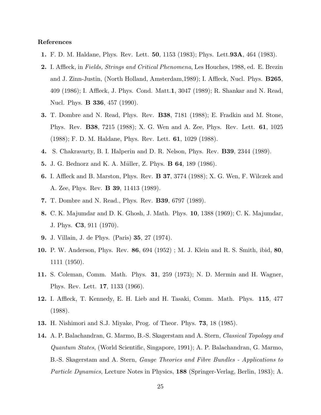## References

- 1. F. D. M. Haldane, Phys. Rev. Lett. 50, 1153 (1983); Phys. Lett.93A, 464 (1983).
- 2. I. Affleck, in Fields, Strings and Critical Phenomena, Les Houches, 1988, ed. E. Brezin and J. Zinn-Justin, (North Holland, Amsterdam,1989); I. Affleck, Nucl. Phys. B265, 409 (1986); I. Affleck, J. Phys. Cond. Matt.1, 3047 (1989); R. Shankar and N. Read, Nucl. Phys. **B 336**, 457 (1990).
- 3. T. Dombre and N. Read, Phys. Rev. B38, 7181 (1988); E. Fradkin and M. Stone, Phys. Rev. B38, 7215 (1988); X. G. Wen and A. Zee, Phys. Rev. Lett. 61, 1025 (1988); F. D. M. Haldane, Phys. Rev. Lett. 61, 1029 (1988).
- 4. S. Chakravarty, B. I. Halperin and D. R. Nelson, Phys. Rev. B39, 2344 (1989).
- **5.** J. G. Bednorz and K. A. Müller, Z. Phys. **B 64**, 189 (1986).
- 6. I. Affleck and B. Marston, Phys. Rev. B 37, 3774 (1988); X. G. Wen, F. Wilczek and A. Zee, Phys. Rev. B 39, 11413 (1989).
- 7. T. Dombre and N. Read., Phys. Rev. B39, 6797 (1989).
- 8. C. K. Majumdar and D. K. Ghosh, J. Math. Phys. 10, 1388 (1969); C. K. Majumdar, J. Phys. C3, 911 (1970).
- 9. J. Villain, J. de Phys. (Paris) 35, 27 (1974).
- 10. P. W. Anderson, Phys. Rev. 86, 694 (1952) ; M. J. Klein and R. S. Smith, ibid, 80, 1111 (1950).
- 11. S. Coleman, Comm. Math. Phys. 31, 259 (1973); N. D. Mermin and H. Wagner, Phys. Rev. Lett. 17, 1133 (1966).
- 12. I. Affleck, T. Kennedy, E. H. Lieb and H. Tasaki, Comm. Math. Phys. 115, 477 (1988).
- 13. H. Nishimori and S.J. Miyake, Prog. of Theor. Phys. 73, 18 (1985).
- 14. A. P. Balachandran, G. Marmo, B.-S. Skagerstam and A. Stern, *Classical Topology and* Quantum States, (World Scientific, Singapore, 1991); A. P. Balachandran, G. Marmo, B.-S. Skagerstam and A. Stern, Gauge Theories and Fibre Bundles - Applications to Particle Dynamics, Lecture Notes in Physics, 188 (Springer-Verlag, Berlin, 1983); A.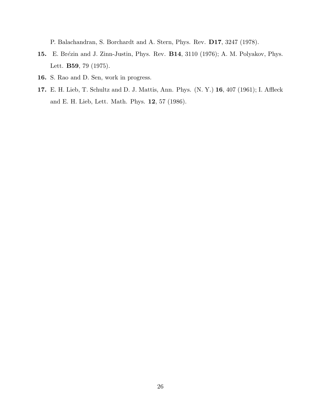P. Balachandran, S. Borchardt and A. Stern, Phys. Rev. D17, 3247 (1978).

- 15. E. Brézin and J. Zinn-Justin, Phys. Rev. **B14**, 3110 (1976); A. M. Polyakov, Phys. Lett. B59, 79 (1975).
- 16. S. Rao and D. Sen, work in progress.
- 17. E. H. Lieb, T. Schultz and D. J. Mattis, Ann. Phys. (N. Y.) 16, 407 (1961); I. Affleck and E. H. Lieb, Lett. Math. Phys. 12, 57 (1986).